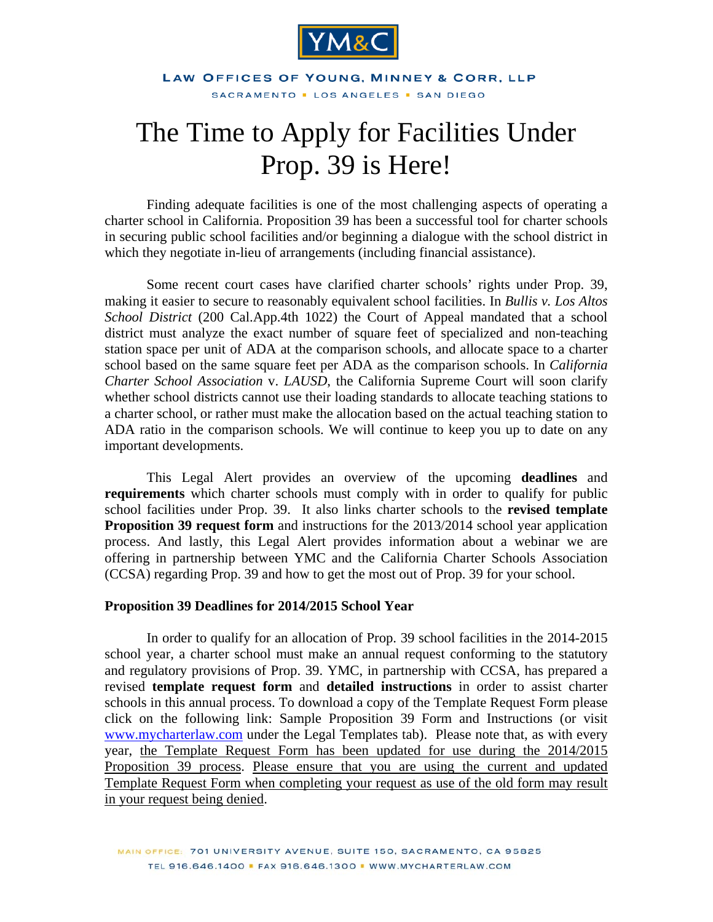

#### LAW OFFICES OF YOUNG, MINNEY & CORR, LLP SACRAMENTO . LOS ANGELES . SAN DIEGO

# The Time to Apply for Facilities Under Prop. 39 is Here!

Finding adequate facilities is one of the most challenging aspects of operating a charter school in California. Proposition 39 has been a successful tool for charter schools in securing public school facilities and/or beginning a dialogue with the school district in which they negotiate in-lieu of arrangements (including financial assistance).

Some recent court cases have clarified charter schools' rights under Prop. 39, making it easier to secure to reasonably equivalent school facilities. In *Bullis v. Los Altos School District* (200 Cal.App.4th 1022) the Court of Appeal mandated that a school district must analyze the exact number of square feet of specialized and non-teaching station space per unit of ADA at the comparison schools, and allocate space to a charter school based on the same square feet per ADA as the comparison schools. In *California Charter School Association* v. *LAUSD*, the California Supreme Court will soon clarify whether school districts cannot use their loading standards to allocate teaching stations to a charter school, or rather must make the allocation based on the actual teaching station to ADA ratio in the comparison schools. We will continue to keep you up to date on any important developments.

This Legal Alert provides an overview of the upcoming **deadlines** and **requirements** which charter schools must comply with in order to qualify for public school facilities under Prop. 39. It also links charter schools to the **[revised template](http://mycharterlaw.com/pdf/Prop39_Template_Request_14-15.doc)  [Proposition 39 request](http://mycharterlaw.com/pdf/Prop39_Template_Request_14-15.doc) form** and instructions for the 2013/2014 school year application process. And lastly, this Legal Alert provides information about a webinar we are offering in partnership between YMC and the California Charter Schools Association (CCSA) regarding Prop. 39 and how to get the most out of Prop. 39 for your school.

#### **Proposition 39 Deadlines for 2014/2015 School Year**

In order to qualify for an allocation of Prop. 39 school facilities in the 2014-2015 school year, a charter school must make an annual request conforming to the statutory and regulatory provisions of Prop. 39. YMC, in partnership with CCSA, has prepared a revised **template request form** and **detailed instructions** in order to assist charter schools in this annual process. To download a copy of the Template Request Form please click on the following link: [Sample Proposition 39 Form and Instructions](http://mycharterlaw.com/pdf/Prop39_Template_Request_14-15.doc) (or visit www.mycharterlaw.com under the Legal Templates tab). Please note that, as with every year, the Template Request Form has been updated for use during the 2014/2015 Proposition 39 process. Please ensure that you are using the current and updated Template Request Form when completing your request as use of the old form may result in your request being denied.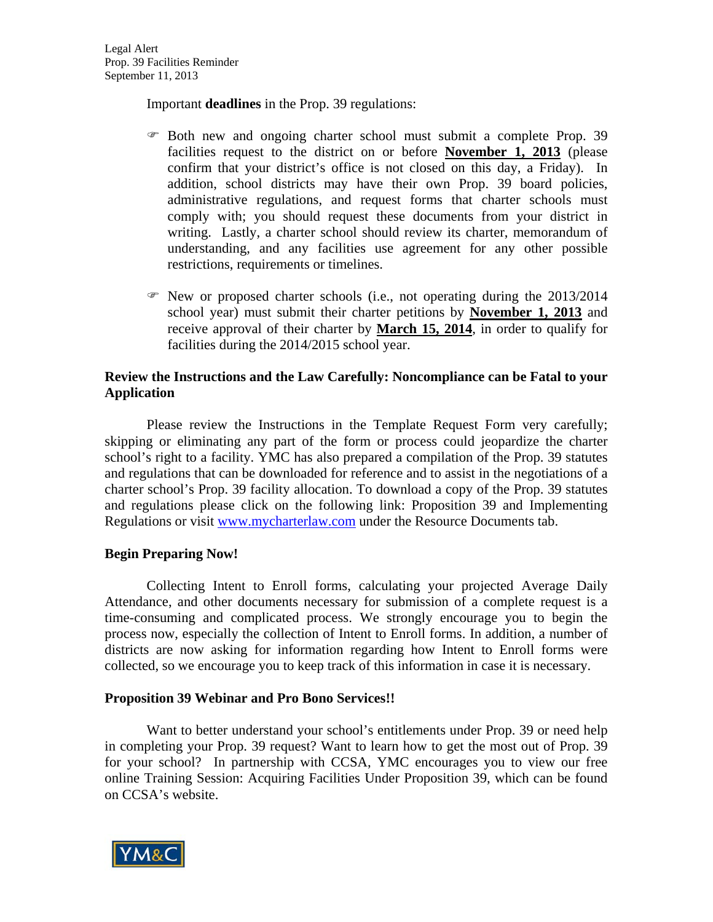Important **deadlines** in the Prop. 39 regulations:

- Both new and ongoing charter school must submit a complete Prop. 39 facilities request to the district on or before **November 1, 2013** (please confirm that your district's office is not closed on this day, a Friday). In addition, school districts may have their own Prop. 39 board policies, administrative regulations, and request forms that charter schools must comply with; you should request these documents from your district in writing. Lastly, a charter school should review its charter, memorandum of understanding, and any facilities use agreement for any other possible restrictions, requirements or timelines.
- $\mathcal{F}$  New or proposed charter schools (i.e., not operating during the 2013/2014 school year) must submit their charter petitions by **November 1, 2013** and receive approval of their charter by **March 15, 2014**, in order to qualify for facilities during the 2014/2015 school year.

## **Review the Instructions and the Law Carefully: Noncompliance can be Fatal to your Application**

Please review the Instructions in the Template Request Form very carefully; skipping or eliminating any part of the form or process could jeopardize the charter school's right to a facility. YMC has also prepared a compilation of the Prop. 39 statutes and regulations that can be downloaded for reference and to assist in the negotiations of a charter school's Prop. 39 facility allocation. To download a copy of the Prop. 39 statutes and regulations please click on the following link: [Proposition 39 and Implementing](http://mycharterlaw.com/pdf/Prop_39_Statutes_and_Regulations.pdf)  [Regulations](http://mycharterlaw.com/pdf/Prop_39_Statutes_and_Regulations.pdf) or visit www.mycharterlaw.com under the Resource Documents tab.

### **Begin Preparing Now!**

 Collecting Intent to Enroll forms, calculating your projected Average Daily Attendance, and other documents necessary for submission of a complete request is a time-consuming and complicated process. We strongly encourage you to begin the process now, especially the collection of Intent to Enroll forms. In addition, a number of districts are now asking for information regarding how Intent to Enroll forms were collected, so we encourage you to keep track of this information in case it is necessary.

### **Proposition 39 Webinar and Pro Bono Services!!**

Want to better understand your school's entitlements under Prop. 39 or need help in completing your Prop. 39 request? Want to learn how to get the most out of Prop. 39 for your school? In partnership with CCSA, YMC encourages you to view our free online Training Session: [Acquiring Facilities Under Proposition 39,](http://www.calcharters.org/2011/09/training-session-acquiring-facilities-under-prop-39.html) which can be found on CCSA's website.